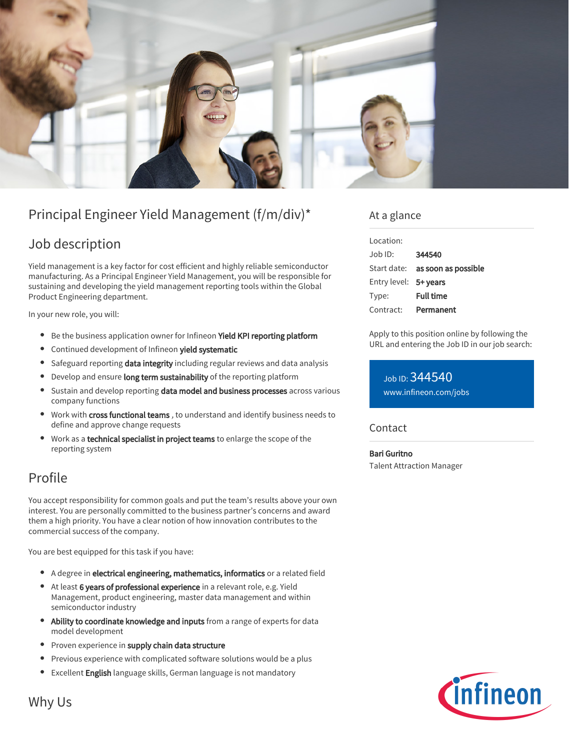

# Principal Engineer Yield Management (f/m/div)\*

### Job description

Yield management is a key factor for cost efficient and highly reliable semiconductor manufacturing. As a Principal Engineer Yield Management, you will be responsible for sustaining and developing the yield management reporting tools within the Global Product Engineering department.

In your new role, you will:

- **•** Be the business application owner for Infineon Yield KPI reporting platform
- **•** Continued development of Infineon yield systematic
- **Safeguard reporting data integrity including regular reviews and data analysis**
- Develop and ensure long term sustainability of the reporting platform
- **Sustain and develop reporting data model and business processes** across various company functions
- Work with cross functional teams, to understand and identify business needs to define and approve change requests
- Work as a technical specialist in project teams to enlarge the scope of the reporting system

## Profile

You accept responsibility for common goals and put the team's results above your own interest. You are personally committed to the business partner's concerns and award them a high priority. You have a clear notion of how innovation contributes to the commercial success of the company.

You are best equipped for this task if you have:

- A degree in electrical engineering, mathematics, informatics or a related field
- At least 6 years of professional experience in a relevant role, e.g. Yield Management, product engineering, master data management and within semiconductor industry
- $\bullet$ Ability to coordinate knowledge and inputs from a range of experts for data model development
- Proven experience in supply chain data structure
- Previous experience with complicated software solutions would be a plus
- **Excellent English language skills, German language is not mandatory**

### At a glance

| Location:             |                                        |
|-----------------------|----------------------------------------|
| Job ID:               | 344540                                 |
|                       | Start date: <b>as soon as possible</b> |
| Entry level: 5+ years |                                        |
| Type:                 | <b>Full time</b>                       |
| Contract:             | Permanent                              |

Apply to this position online by following the URL and entering the Job ID in our job search:

Job ID: 344540 [www.infineon.com/jobs](https://www.infineon.com/jobs)

#### **Contact**

Bari Guritno Talent Attraction Manager